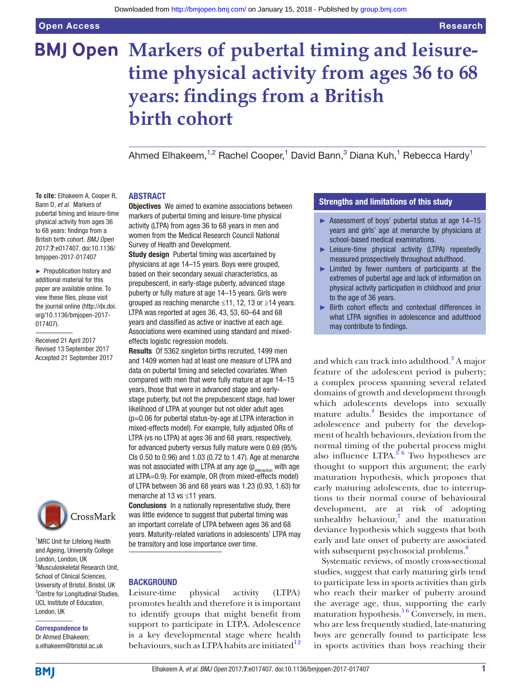# **BMJ Open Markers of pubertal timing and leisuretime physical activity from ages 36 to 68 years: findings from a British birth cohort**

Ahmed Elhakeem, $^{1,2}$  Rachel Cooper, $^1$  David Bann, $^3$  Diana Kuh, $^1$  Rebecca Hardy $^1$ 

## **ABSTRACT**

**To cite:** Elhakeem A, Cooper R, Bann D, *et al*. Markers of pubertal timing and leisure-time physical activity from ages 36 to 68 years: findings from a British birth cohort. *BMJ Open* 2017;7:e017407. doi:10.1136/ bmjopen-2017-017407

► Prepublication history and additional material for this paper are available online. To view these files, please visit the journal online [\(http://dx.doi.](http://dx.doi.org/10.1136/bmjopen-2017-017407) [org/10.1136/bmjopen-2017-](http://dx.doi.org/10.1136/bmjopen-2017-017407) [017407\)](http://dx.doi.org/10.1136/bmjopen-2017-017407).

Received 21 April 2017 Revised 13 September 2017 Accepted 21 September 2017



<sup>1</sup>MRC Unit for Lifelong Health and Ageing, University College London, London, UK 2 Musculoskeletal Research Unit, School of Clinical Sciences, University of Bristol, Bristol, UK 3 Centre for Longitudinal Studies, UCL Institute of Education, London, UK

# Correspondence to

Dr Ahmed Elhakeem; a.elhakeem@bristol.ac.uk **Objectives** We aimed to examine associations between markers of pubertal timing and leisure-time physical activity (LTPA) from ages 36 to 68 years in men and women from the Medical Research Council National Survey of Health and Development.

**Study design** Pubertal timing was ascertained by physicians at age 14–15 years. Boys were grouped, based on their secondary sexual characteristics, as prepubescent, in early-stage puberty, advanced stage puberty or fully mature at age 14–15 years. Girls were grouped as reaching menarche ≤11, 12, 13 or ≥14 years. LTPA was reported at ages 36, 43, 53, 60–64 and 68 years and classified as active or inactive at each age. Associations were examined using standard and mixedeffects logistic regression models.

Results Of 5362 singleton births recruited, 1499 men and 1409 women had at least one measure of LTPA and data on pubertal timing and selected covariates. When compared with men that were fully mature at age 14–15 years, those that were in advanced stage and earlystage puberty, but not the prepubescent stage, had lower likelihood of LTPA at younger but not older adult ages (p=0.06 for pubertal status-by-age at LTPA interaction in mixed-effects model). For example, fully adjusted ORs of LTPA (vs no LTPA) at ages 36 and 68 years, respectively, for advanced puberty versus fully mature were 0.69 (95% CIs 0.50 to 0.96) and 1.03 (0.72 to 1.47). Age at menarche was not associated with LTPA at any age  $(p_{\text{interaction}}$  with age at LTPA=0.9). For example, OR (from mixed-effects model) of LTPA between 36 and 68 years was 1.23 (0.93, 1.63) for menarche at 13 vs ≤11 years.

Conclusions In a nationally representative study, there was little evidence to suggest that pubertal timing was an important correlate of LTPA between ages 36 and 68 years. Maturity-related variations in adolescents' LTPA may be transitory and lose importance over time.

## **BACKGROUND**

Leisure-time physical activity (LTPA) promotes health and therefore it is important to identify groups that might benefit from support to participate in LTPA. Adolescence is a key developmental stage where health behaviours, such as LTPA habits are initiated  $12$ 

## Strengths and limitations of this study

- ► Assessment of boys' pubertal status at age 14–15 years and girls' age at menarche by physicians at school-based medical examinations.
- ► Leisure-time physical activity (LTPA) repeatedly measured prospectively throughout adulthood.
- $\blacktriangleright$  Limited by fewer numbers of participants at the extremes of pubertal age and lack of information on physical activity participation in childhood and prior to the age of 36 years.
- ► Birth cohort effects and contextual differences in what LTPA signifies in adolescence and adulthood may contribute to findings.

and which can track into adulthood.<sup>[3](#page-7-1)</sup> A major feature of the adolescent period is puberty; a complex process spanning several related domains of growth and development through which adolescents develops into sexually mature adults.<sup>[4](#page-7-2)</sup> Besides the importance of adolescence and puberty for the development of health behaviours, deviation from the normal timing of the pubertal process might also influence LTPA. $56$  Two hypotheses are thought to support this argument; the early maturation hypothesis, which proposes that early maturing adolescents, due to interruptions to their normal course of behavioural development, are at risk of adopting unhealthy behaviour, $7$  and the maturation deviance hypothesis which suggests that both early and late onset of puberty are associated with subsequent psychosocial problems.<sup>8</sup>

Systematic reviews, of mostly cross-sectional studies, suggest that early maturing girls tend to participate less in sports activities than girls who reach their marker of puberty around the average age, thus, supporting the early maturation hypothesis.<sup>5 6</sup> Conversely, in men, who are less frequently studied, late-maturing boys are generally found to participate less in sports activities than boys reaching their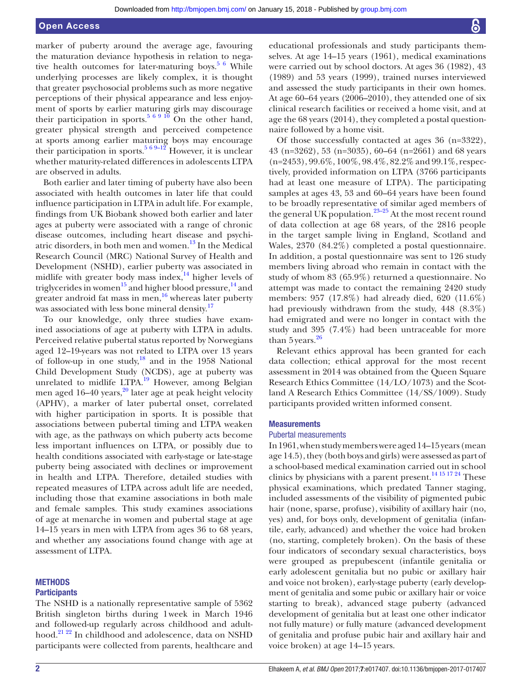marker of puberty around the average age, favouring the maturation deviance hypothesis in relation to negative health outcomes for later-maturing boys.<sup>5 6</sup> While underlying processes are likely complex, it is thought that greater psychosocial problems such as more negative perceptions of their physical appearance and less enjoyment of sports by earlier maturing girls may discourage their participation in sports.<sup>5 6 9 10</sup> On the other hand, greater physical strength and perceived competence at sports among earlier maturing boys may encourage their participation in sports.<sup>5 6 9–12</sup> However, it is unclear whether maturity-related differences in adolescents LTPA are observed in adults.

Both earlier and later timing of puberty have also been associated with health outcomes in later life that could influence participation in LTPA in adult life. For example, findings from UK Biobank showed both earlier and later ages at puberty were associated with a range of chronic disease outcomes, including heart disease and psychi-atric disorders, in both men and women.<sup>[13](#page-7-6)</sup> In the Medical Research Council (MRC) National Survey of Health and Development (NSHD), earlier puberty was associated in midlife with greater body mass index, $^{14}$  higher levels of triglycerides in women<sup>15</sup> and higher blood pressure,  $14$  and greater android fat mass in men, $\frac{16}{6}$  whereas later puberty was associated with less bone mineral density.<sup>[17](#page-7-10)</sup>

To our knowledge, only three studies have examined associations of age at puberty with LTPA in adults. Perceived relative pubertal status reported by Norwegians aged 12–19-years was not related to LTPA over 13 years of follow-up in one study, $18$  and in the 1958 National Child Development Study (NCDS), age at puberty was unrelated to midlife LTPA.<sup>19</sup> However, among Belgian men aged  $16-40$  years,<sup>20</sup> later age at peak height velocity (APHV), a marker of later pubertal onset, correlated with higher participation in sports. It is possible that associations between pubertal timing and LTPA weaken with age, as the pathways on which puberty acts become less important influences on LTPA, or possibly due to health conditions associated with early-stage or late-stage puberty being associated with declines or improvement in health and LTPA. Therefore, detailed studies with repeated measures of LTPA across adult life are needed, including those that examine associations in both male and female samples. This study examines associations of age at menarche in women and pubertal stage at age 14–15 years in men with LTPA from ages 36 to 68 years, and whether any associations found change with age at assessment of LTPA.

## **METHODS**

## **Participants**

The NSHD is a nationally representative sample of 5362 British singleton births during 1week in March 1946 and followed-up regularly across childhood and adulthood[.21 22](#page-7-14) In childhood and adolescence, data on NSHD participants were collected from parents, healthcare and

educational professionals and study participants themselves. At age 14–15 years (1961), medical examinations were carried out by school doctors. At ages 36 (1982), 43 (1989) and 53 years (1999), trained nurses interviewed and assessed the study participants in their own homes. At age 60–64 years (2006–2010), they attended one of six clinical research facilities or received a home visit, and at age the 68 years (2014), they completed a postal questionnaire followed by a home visit.

Of those successfully contacted at ages 36 (n=3322), 43 (n=3262), 53 (n=3035), 60–64 (n=2661) and 68 years (n=2453), 99.6%, 100%, 98.4%, 82.2% and 99.1%, respectively, provided information on LTPA (3766 participants had at least one measure of LTPA). The participating samples at ages 43, 53 and 60–64 years have been found to be broadly representative of similar aged members of the general UK population.<sup>23–25</sup> At the most recent round</sup> of data collection at age 68 years, of the 2816 people in the target sample living in England, Scotland and Wales, 2370 (84.2%) completed a postal questionnaire. In addition, a postal questionnaire was sent to 126 study members living abroad who remain in contact with the study of whom 83 (65.9%) returned a questionnaire. No attempt was made to contact the remaining 2420 study members: 957 (17.8%) had already died, 620 (11.6%) had previously withdrawn from the study, 448 (8.3%) had emigrated and were no longer in contact with the study and 395 (7.4%) had been untraceable for more than  $5$  years.<sup>[26](#page-7-16)</sup>

Relevant ethics approval has been granted for each data collection; ethical approval for the most recent assessment in 2014 was obtained from the Queen Square Research Ethics Committee (14/LO/1073) and the Scotland A Research Ethics Committee (14/SS/1009). Study participants provided written informed consent.

#### **Measurements**

#### Pubertal measurements

In 1961, when study members were aged 14–15 years (mean age 14.5), they (both boys and girls) were assessed as part of a school-based medical examination carried out in school clinics by physicians with a parent present.<sup>14 15 17 24</sup> These physical examinations, which predated Tanner staging, included assessments of the visibility of pigmented pubic hair (none, sparse, profuse), visibility of axillary hair (no, yes) and, for boys only, development of genitalia (infantile, early, advanced) and whether the voice had broken (no, starting, completely broken). On the basis of these four indicators of secondary sexual characteristics, boys were grouped as prepubescent (infantile genitalia or early adolescent genitalia but no pubic or axillary hair and voice not broken), early-stage puberty (early development of genitalia and some pubic or axillary hair or voice starting to break), advanced stage puberty (advanced development of genitalia but at least one other indicator not fully mature) or fully mature (advanced development of genitalia and profuse pubic hair and axillary hair and voice broken) at age 14–15 years.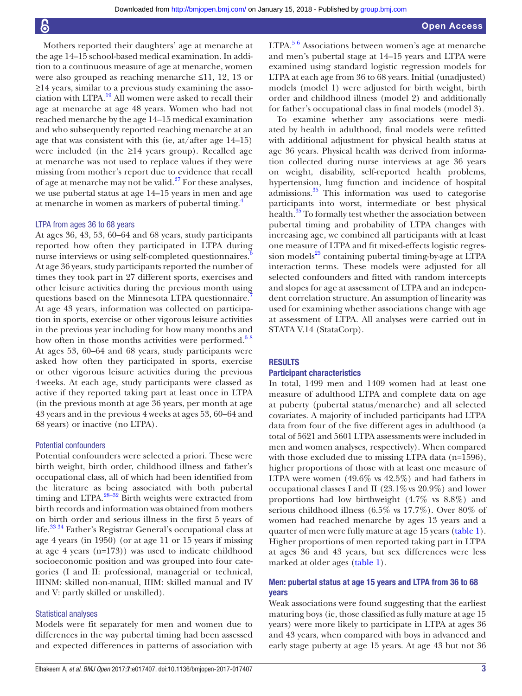Mothers reported their daughters' age at menarche at the age 14–15 school-based medical examination. In addition to a continuous measure of age at menarche, women were also grouped as reaching menarche ≤11, 12, 13 or ≥14 years, similar to a previous study examining the association with LTPA[.19](#page-7-12) All women were asked to recall their age at menarche at age 48 years. Women who had not reached menarche by the age 14–15 medical examination and who subsequently reported reaching menarche at an age that was consistent with this (ie, at/after age 14–15) were included (in the ≥14 years group). Recalled age at menarche was not used to replace values if they were missing from mother's report due to evidence that recall of age at menarche may not be valid.<sup>27</sup> For these analyses, we use pubertal status at age 14–15 years in men and age at menarche in women as markers of pubertal timing[.4](#page-7-2)

#### LTPA from ages 36 to 68 years

At ages 36, 43, 53, 60–64 and 68 years, study participants reported how often they participated in LTPA during nurse interviews or using self-completed questionnaires.<sup>[6](#page-7-18)</sup> At age 36 years, study participants reported the number of times they took part in 27 different sports, exercises and other leisure activities during the previous month using questions based on the Minnesota LTPA questionnaire.<sup>4</sup> At age 43 years, information was collected on participation in sports, exercise or other vigorous leisure activities in the previous year including for how many months and how often in those months activities were performed.<sup>68</sup> At ages 53, 60–64 and 68 years, study participants were asked how often they participated in sports, exercise or other vigorous leisure activities during the previous 4weeks. At each age, study participants were classed as active if they reported taking part at least once in LTPA (in the previous month at age 36 years, per month at age 43 years and in the previous 4 weeks at ages 53, 60–64 and 68 years) or inactive (no LTPA).

#### Potential confounders

Potential confounders were selected a priori. These were birth weight, birth order, childhood illness and father's occupational class, all of which had been identified from the literature as being associated with both pubertal timing and LTPA.<sup>[28–32](#page-7-19)</sup> Birth weights were extracted from birth records and information was obtained from mothers on birth order and serious illness in the first 5 years of life.[33 34](#page-8-0) Father's Registrar General's occupational class at age 4 years (in 1950) (or at age 11 or 15 years if missing at age 4 years (n=173)) was used to indicate childhood socioeconomic position and was grouped into four categories (I and II: professional, managerial or technical, IIINM: skilled non-manual, IIIM: skilled manual and IV and V: partly skilled or unskilled).

#### Statistical analyses

Models were fit separately for men and women due to differences in the way pubertal timing had been assessed and expected differences in patterns of association with LTPA. $56$  Associations between women's age at menarche and men's pubertal stage at 14–15 years and LTPA were examined using standard logistic regression models for LTPA at each age from 36 to 68 years. Initial (unadjusted) models (model 1) were adjusted for birth weight, birth order and childhood illness (model 2) and additionally for father's occupational class in final models (model 3).

To examine whether any associations were mediated by health in adulthood, final models were refitted with additional adjustment for physical health status at age 36 years. Physical health was derived from information collected during nurse interviews at age 36 years on weight, disability, self-reported health problems, hypertension, lung function and incidence of hospital admissions.[35](#page-8-1) This information was used to categorise participants into worst, intermediate or best physical health.<sup>35</sup> To formally test whether the association between pubertal timing and probability of LTPA changes with increasing age, we combined all participants with at least one measure of LTPA and fit mixed-effects logistic regression models $^{25}$  containing pubertal timing-by-age at LTPA interaction terms. These models were adjusted for all selected confounders and fitted with random intercepts and slopes for age at assessment of LTPA and an independent correlation structure. An assumption of linearity was used for examining whether associations change with age at assessment of LTPA. All analyses were carried out in STATA V.14 (StataCorp).

#### **RESULTS**

#### Participant characteristics

In total, 1499 men and 1409 women had at least one measure of adulthood LTPA and complete data on age at puberty (pubertal status/menarche) and all selected covariates. A majority of included participants had LTPA data from four of the five different ages in adulthood (a total of 5621 and 5601 LTPA assessments were included in men and women analyses, respectively). When compared with those excluded due to missing LTPA data (n=1596), higher proportions of those with at least one measure of LTPA were women (49.6% vs 42.5%) and had fathers in occupational classes I and II ( $23.1\%$  vs  $20.9\%$ ) and lower proportions had low birthweight (4.7% vs 8.8%) and serious childhood illness (6.5% vs 17.7%). Over 80% of women had reached menarche by ages 13 years and a quarter of men were fully mature at age 15 years [\(table](#page-3-0) 1). Higher proportions of men reported taking part in LTPA at ages 36 and 43 years, but sex differences were less marked at older ages ([table](#page-3-0) 1).

## Men: pubertal status at age 15 years and LTPA from 36 to 68 years

Weak associations were found suggesting that the earliest maturing boys (ie, those classified as fully mature at age 15 years) were more likely to participate in LTPA at ages 36 and 43 years, when compared with boys in advanced and early stage puberty at age 15 years. At age 43 but not 36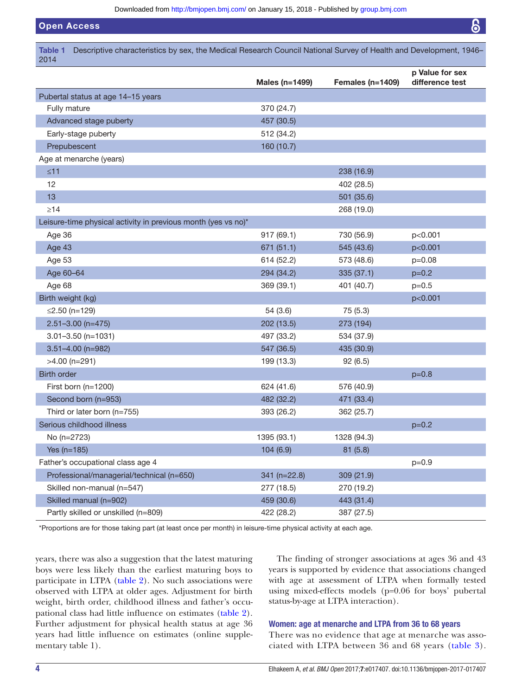Open Access

<span id="page-3-0"></span>

|      | Table 1 Descriptive characteristics by sex, the Medical Research Council National Survey of Health and Development, 1946– |
|------|---------------------------------------------------------------------------------------------------------------------------|
| 2014 |                                                                                                                           |

|                                                               | Males (n=1499) | Females ( $n=1409$ ) | p Value for sex<br>difference test |
|---------------------------------------------------------------|----------------|----------------------|------------------------------------|
| Pubertal status at age 14–15 years                            |                |                      |                                    |
| Fully mature                                                  | 370 (24.7)     |                      |                                    |
| Advanced stage puberty                                        | 457 (30.5)     |                      |                                    |
| Early-stage puberty                                           | 512 (34.2)     |                      |                                    |
| Prepubescent                                                  | 160 (10.7)     |                      |                                    |
| Age at menarche (years)                                       |                |                      |                                    |
| $≤11$                                                         |                | 238 (16.9)           |                                    |
| 12                                                            |                | 402 (28.5)           |                                    |
| 13                                                            |                | 501 (35.6)           |                                    |
| $\geq 14$                                                     |                | 268 (19.0)           |                                    |
| Leisure-time physical activity in previous month (yes vs no)* |                |                      |                                    |
| Age 36                                                        | 917 (69.1)     | 730 (56.9)           | p<0.001                            |
| Age 43                                                        | 671 (51.1)     | 545 (43.6)           | p<0.001                            |
| Age 53                                                        | 614 (52.2)     | 573 (48.6)           | $p=0.08$                           |
| Age 60-64                                                     | 294 (34.2)     | 335 (37.1)           | $p=0.2$                            |
| Age 68                                                        | 369 (39.1)     | 401 (40.7)           | $p=0.5$                            |
| Birth weight (kg)                                             |                |                      | p<0.001                            |
| ≤2.50 $(n=129)$                                               | 54 (3.6)       | 75 (5.3)             |                                    |
| $2.51 - 3.00$ (n=475)                                         | 202 (13.5)     | 273 (194)            |                                    |
| $3.01 - 3.50$ (n=1031)                                        | 497 (33.2)     | 534 (37.9)           |                                    |
| $3.51 - 4.00$ (n=982)                                         | 547 (36.5)     | 435 (30.9)           |                                    |
| $>4.00$ (n=291)                                               | 199 (13.3)     | 92(6.5)              |                                    |
| <b>Birth order</b>                                            |                |                      | $p=0.8$                            |
| First born (n=1200)                                           | 624 (41.6)     | 576 (40.9)           |                                    |
| Second born (n=953)                                           | 482 (32.2)     | 471 (33.4)           |                                    |
| Third or later born (n=755)                                   | 393 (26.2)     | 362 (25.7)           |                                    |
| Serious childhood illness                                     |                |                      | $p=0.2$                            |
| No (n=2723)                                                   | 1395 (93.1)    | 1328 (94.3)          |                                    |
| Yes $(n=185)$                                                 | 104(6.9)       | 81(5.8)              |                                    |
| Father's occupational class age 4                             |                |                      | $p=0.9$                            |
| Professional/managerial/technical (n=650)                     | $341 (n=22.8)$ | 309 (21.9)           |                                    |
| Skilled non-manual (n=547)                                    | 277 (18.5)     | 270 (19.2)           |                                    |
| Skilled manual (n=902)                                        | 459 (30.6)     | 443 (31.4)           |                                    |
| Partly skilled or unskilled (n=809)                           | 422 (28.2)     | 387 (27.5)           |                                    |

\*Proportions are for those taking part (at least once per month) in leisure-time physical activity at each age.

years, there was also a suggestion that the latest maturing boys were less likely than the earliest maturing boys to participate in LTPA [\(table](#page-4-0) 2). No such associations were observed with LTPA at older ages. Adjustment for birth weight, birth order, childhood illness and father's occupational class had little influence on estimates ([table](#page-4-0) 2). Further adjustment for physical health status at age 36 years had little influence on estimates (online [supple](https://dx.doi.org/10.1136/bmjopen-2017-017407)[mentary table 1](https://dx.doi.org/10.1136/bmjopen-2017-017407)).

The finding of stronger associations at ages 36 and 43 years is supported by evidence that associations changed with age at assessment of LTPA when formally tested using mixed-effects models (p=0.06 for boys' pubertal status-by-age at LTPA interaction).

## Women: age at menarche and LTPA from 36 to 68 years

There was no evidence that age at menarche was associated with LTPA between 36 and 68 years [\(table](#page-5-0) 3).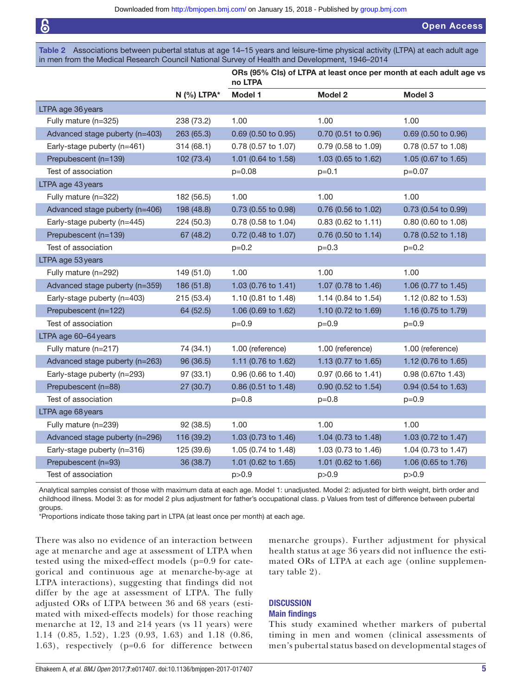b

Open Access

<span id="page-4-0"></span>Table 2 Associations between pubertal status at age 14–15 years and leisure-time physical activity (LTPA) at each adult age in men from the Medical Research Council National Survey of Health and Development, 1946–2014

|                                |               | no LTPA               |                               | ORs (95% CIs) of LTPA at least once per month at each adult age vs |
|--------------------------------|---------------|-----------------------|-------------------------------|--------------------------------------------------------------------|
|                                | $N$ (%) LTPA* | Model 1               | <b>Model 2</b>                | Model 3                                                            |
| LTPA age 36 years              |               |                       |                               |                                                                    |
| Fully mature (n=325)           | 238 (73.2)    | 1.00                  | 1.00                          | 1.00                                                               |
| Advanced stage puberty (n=403) | 263(65.3)     | 0.69 (0.50 to 0.95)   | 0.70 (0.51 to 0.96)           | 0.69 (0.50 to 0.96)                                                |
| Early-stage puberty (n=461)    | 314 (68.1)    | $0.78$ (0.57 to 1.07) | $0.79(0.58 \text{ to } 1.09)$ | 0.78 (0.57 to 1.08)                                                |
| Prepubescent (n=139)           | 102 (73.4)    | 1.01 (0.64 to 1.58)   | 1.03 (0.65 to 1.62)           | 1.05 (0.67 to 1.65)                                                |
| Test of association            |               | $p=0.08$              | $p=0.1$                       | $p=0.07$                                                           |
| LTPA age 43 years              |               |                       |                               |                                                                    |
| Fully mature (n=322)           | 182 (56.5)    | 1.00                  | 1.00                          | 1.00                                                               |
| Advanced stage puberty (n=406) | 198 (48.8)    | 0.73 (0.55 to 0.98)   | 0.76 (0.56 to 1.02)           | 0.73 (0.54 to 0.99)                                                |
| Early-stage puberty (n=445)    | 224 (50.3)    | $0.78$ (0.58 to 1.04) | $0.83$ (0.62 to 1.11)         | $0.80$ (0.60 to 1.08)                                              |
| Prepubescent (n=139)           | 67 (48.2)     | 0.72 (0.48 to 1.07)   | $0.76$ (0.50 to 1.14)         | $0.78$ (0.52 to 1.18)                                              |
| Test of association            |               | $p=0.2$               | $p=0.3$                       | $p=0.2$                                                            |
| LTPA age 53 years              |               |                       |                               |                                                                    |
| Fully mature (n=292)           | 149 (51.0)    | 1.00                  | 1.00                          | 1.00                                                               |
| Advanced stage puberty (n=359) | 186 (51.8)    | 1.03 (0.76 to 1.41)   | 1.07 (0.78 to 1.46)           | 1.06 (0.77 to 1.45)                                                |
| Early-stage puberty (n=403)    | 215 (53.4)    | 1.10 (0.81 to 1.48)   | 1.14 (0.84 to 1.54)           | 1.12 (0.82 to 1.53)                                                |
| Prepubescent (n=122)           | 64 (52.5)     | 1.06 (0.69 to 1.62)   | 1.10 (0.72 to 1.69)           | 1.16 (0.75 to 1.79)                                                |
| Test of association            |               | $p=0.9$               | $p=0.9$                       | $p=0.9$                                                            |
| LTPA age 60-64 years           |               |                       |                               |                                                                    |
| Fully mature (n=217)           | 74 (34.1)     | 1.00 (reference)      | 1.00 (reference)              | 1.00 (reference)                                                   |
| Advanced stage puberty (n=263) | 96 (36.5)     | 1.11 (0.76 to 1.62)   | 1.13 (0.77 to 1.65)           | 1.12 (0.76 to 1.65)                                                |
| Early-stage puberty (n=293)    | 97 (33.1)     | $0.96$ (0.66 to 1.40) | $0.97$ (0.66 to 1.41)         | 0.98 (0.67to 1.43)                                                 |
| Prepubescent (n=88)            | 27 (30.7)     | $0.86$ (0.51 to 1.48) | $0.90$ (0.52 to 1.54)         | 0.94 (0.54 to 1.63)                                                |
| Test of association            |               | $p=0.8$               | $p=0.8$                       | $p=0.9$                                                            |
| LTPA age 68 years              |               |                       |                               |                                                                    |
| Fully mature (n=239)           | 92(38.5)      | 1.00                  | 1.00                          | 1.00                                                               |
| Advanced stage puberty (n=296) | 116 (39.2)    | 1.03 (0.73 to 1.46)   | 1.04 (0.73 to 1.48)           | 1.03 (0.72 to 1.47)                                                |
| Early-stage puberty (n=316)    | 125 (39.6)    | 1.05 (0.74 to 1.48)   | 1.03 (0.73 to 1.46)           | 1.04 (0.73 to 1.47)                                                |
| Prepubescent (n=93)            | 36 (38.7)     | 1.01 (0.62 to 1.65)   | 1.01 (0.62 to 1.66)           | 1.06 (0.65 to 1.76)                                                |
| Test of association            |               | p > 0.9               | p > 0.9                       | p > 0.9                                                            |

Analytical samples consist of those with maximum data at each age. Model 1: unadjusted. Model 2: adjusted for birth weight, birth order and childhood illness. Model 3: as for model 2 plus adjustment for father's occupational class. p Values from test of difference between pubertal groups.

\*Proportions indicate those taking part in LTPA (at least once per month) at each age.

There was also no evidence of an interaction between age at menarche and age at assessment of LTPA when tested using the mixed-effect models (p=0.9 for categorical and continuous age at menarche-by-age at LTPA interactions), suggesting that findings did not differ by the age at assessment of LTPA. The fully adjusted ORs of LTPA between 36 and 68 years (estimated with mixed-effects models) for those reaching menarche at 12, 13 and  $\geq$ 14 years (vs 11 years) were 1.14 (0.85, 1.52), 1.23 (0.93, 1.63) and 1.18 (0.86, 1.63), respectively (p=0.6 for difference between

menarche groups). Further adjustment for physical health status at age 36 years did not influence the estimated ORs of LTPA at each age (online [supplemen](https://dx.doi.org/10.1136/bmjopen-2017-017407)[tary table 2\)](https://dx.doi.org/10.1136/bmjopen-2017-017407).

## **DISCUSSION** Main findings

This study examined whether markers of pubertal timing in men and women (clinical assessments of men's pubertal status based on developmental stages of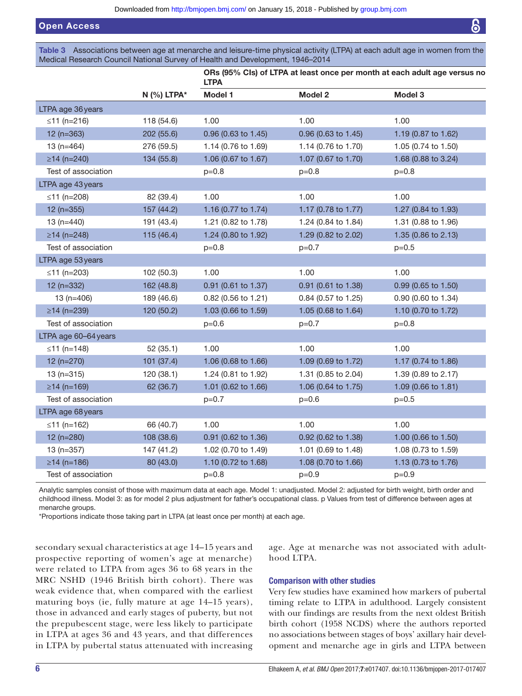## Open Access

<span id="page-5-0"></span>Table 3 Associations between age at menarche and leisure-time physical activity (LTPA) at each adult age in women from the Medical Research Council National Survey of Health and Development, 1946–2014

|                      |               | <b>LTPA</b>         |                     | ORs (95% CIs) of LTPA at least once per month at each adult age versus no |
|----------------------|---------------|---------------------|---------------------|---------------------------------------------------------------------------|
|                      | $N$ (%) LTPA* | Model 1             | Model 2             | Model 3                                                                   |
| LTPA age 36 years    |               |                     |                     |                                                                           |
| ≤11 (n=216)          | 118 (54.6)    | 1.00                | 1.00                | 1.00                                                                      |
| $12(n=363)$          | 202 (55.6)    | 0.96 (0.63 to 1.45) | 0.96 (0.63 to 1.45) | 1.19 (0.87 to 1.62)                                                       |
| 13 $(n=464)$         | 276 (59.5)    | 1.14 (0.76 to 1.69) | 1.14 (0.76 to 1.70) | 1.05 (0.74 to 1.50)                                                       |
| $≥14$ (n=240)        | 134 (55.8)    | 1.06 (0.67 to 1.67) | 1.07 (0.67 to 1.70) | 1.68 (0.88 to 3.24)                                                       |
| Test of association  |               | $p=0.8$             | $p=0.8$             | $p=0.8$                                                                   |
| LTPA age 43 years    |               |                     |                     |                                                                           |
| ≤11 (n=208)          | 82 (39.4)     | 1.00                | 1.00                | 1.00                                                                      |
| $12(n=355)$          | 157 (44.2)    | 1.16 (0.77 to 1.74) | 1.17 (0.78 to 1.77) | 1.27 (0.84 to 1.93)                                                       |
| 13 $(n=440)$         | 191 (43.4)    | 1.21 (0.82 to 1.78) | 1.24 (0.84 to 1.84) | 1.31 (0.88 to 1.96)                                                       |
| $≥14$ (n=248)        | 115 (46.4)    | 1.24 (0.80 to 1.92) | 1.29 (0.82 to 2.02) | 1.35 (0.86 to 2.13)                                                       |
| Test of association  |               | $p=0.8$             | $p=0.7$             | $p=0.5$                                                                   |
| LTPA age 53 years    |               |                     |                     |                                                                           |
| ≤11 (n=203)          | 102 (50.3)    | 1.00                | 1.00                | 1.00                                                                      |
| $12(n=332)$          | 162 (48.8)    | 0.91 (0.61 to 1.37) | 0.91 (0.61 to 1.38) | 0.99 (0.65 to 1.50)                                                       |
| $13(n=406)$          | 189 (46.6)    | 0.82 (0.56 to 1.21) | 0.84 (0.57 to 1.25) | 0.90 (0.60 to 1.34)                                                       |
| $≥14$ (n=239)        | 120 (50.2)    | 1.03 (0.66 to 1.59) | 1.05 (0.68 to 1.64) | 1.10 (0.70 to 1.72)                                                       |
| Test of association  |               | $p=0.6$             | $p=0.7$             | $p=0.8$                                                                   |
| LTPA age 60-64 years |               |                     |                     |                                                                           |
| ≤11 (n=148)          | 52(35.1)      | 1.00                | 1.00                | 1.00                                                                      |
| $12(n=270)$          | 101 (37.4)    | 1.06 (0.68 to 1.66) | 1.09 (0.69 to 1.72) | 1.17 (0.74 to 1.86)                                                       |
| $13(n=315)$          | 120 (38.1)    | 1.24 (0.81 to 1.92) | 1.31 (0.85 to 2.04) | 1.39 (0.89 to 2.17)                                                       |
| $≥14$ (n=169)        | 62 (36.7)     | 1.01 (0.62 to 1.66) | 1.06 (0.64 to 1.75) | 1.09 (0.66 to 1.81)                                                       |
| Test of association  |               | $p=0.7$             | $p=0.6$             | $p=0.5$                                                                   |
| LTPA age 68 years    |               |                     |                     |                                                                           |
| ≤11 (n=162)          | 66 (40.7)     | 1.00                | 1.00                | 1.00                                                                      |
| $12(n=280)$          | 108 (38.6)    | 0.91 (0.62 to 1.36) | 0.92 (0.62 to 1.38) | 1.00 (0.66 to 1.50)                                                       |
| $13(n=357)$          | 147 (41.2)    | 1.02 (0.70 to 1.49) | 1.01 (0.69 to 1.48) | 1.08 (0.73 to 1.59)                                                       |
| $≥14$ (n=186)        | 80 (43.0)     | 1.10 (0.72 to 1.68) | 1.08 (0.70 to 1.66) | 1.13 (0.73 to 1.76)                                                       |
| Test of association  |               | $p=0.8$             | $p=0.9$             | $p=0.9$                                                                   |

Analytic samples consist of those with maximum data at each age. Model 1: unadjusted. Model 2: adjusted for birth weight, birth order and childhood illness. Model 3: as for model 2 plus adjustment for father's occupational class. p Values from test of difference between ages at menarche groups.

\*Proportions indicate those taking part in LTPA (at least once per month) at each age.

secondary sexual characteristics at age 14–15 years and prospective reporting of women's age at menarche) were related to LTPA from ages 36 to 68 years in the MRC NSHD (1946 British birth cohort). There was weak evidence that, when compared with the earliest maturing boys (ie, fully mature at age 14–15 years), those in advanced and early stages of puberty, but not the prepubescent stage, were less likely to participate in LTPA at ages 36 and 43 years, and that differences in LTPA by pubertal status attenuated with increasing

age. Age at menarche was not associated with adulthood LTPA.

### Comparison with other studies

Very few studies have examined how markers of pubertal timing relate to LTPA in adulthood. Largely consistent with our findings are results from the next oldest British birth cohort (1958 NCDS) where the authors reported no associations between stages of boys' axillary hair development and menarche age in girls and LTPA between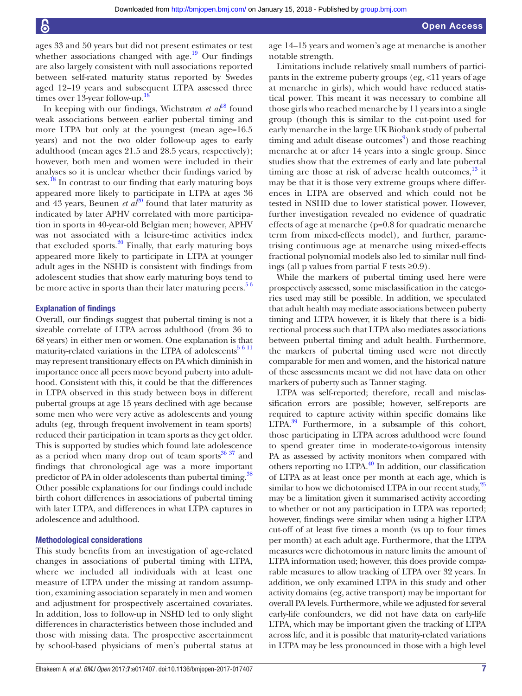ages 33 and 50 years but did not present estimates or test whether associations changed with age.<sup>19</sup> Our findings are also largely consistent with null associations reported between self-rated maturity status reported by Swedes aged 12–19 years and subsequent LTPA assessed three times over 13-year follow-up.<sup>1</sup>

In keeping with our findings, Wichstrøm et al<sup>[18](#page-7-11)</sup> found weak associations between earlier pubertal timing and more LTPA but only at the youngest (mean age=16.5 years) and not the two older follow-up ages to early adulthood (mean ages 21.5 and 28.5 years, respectively); however, both men and women were included in their analyses so it is unclear whether their findings varied by sex.<sup>18</sup> In contrast to our finding that early maturing boys appeared more likely to participate in LTPA at ages 36 and 43 years, Beunen *et*  $a\ell^{20}$  $a\ell^{20}$  $a\ell^{20}$  found that later maturity as indicated by later APHV correlated with more participation in sports in 40-year-old Belgian men; however, APHV was not associated with a leisure-time activities index that excluded sports. $20$  Finally, that early maturing boys appeared more likely to participate in LTPA at younger adult ages in the NSHD is consistent with findings from adolescent studies that show early maturing boys tend to be more active in sports than their later maturing peers.  $56$ 

## Explanation of findings

Overall, our findings suggest that pubertal timing is not a sizeable correlate of LTPA across adulthood (from 36 to 68 years) in either men or women. One explanation is that maturity-related variations in the LTPA of adolescents $5611$ may represent transitionary effects on PA which diminish in importance once all peers move beyond puberty into adulthood. Consistent with this, it could be that the differences in LTPA observed in this study between boys in different pubertal groups at age 15 years declined with age because some men who were very active as adolescents and young adults (eg, through frequent involvement in team sports) reduced their participation in team sports as they get older. This is supported by studies which found late adolescence as a period when many drop out of team sports $36\frac{37}{1}$  and findings that chronological age was a more important predictor of PA in older adolescents than pubertal timing.<sup>[38](#page-8-3)</sup> Other possible explanations for our findings could include birth cohort differences in associations of pubertal timing with later LTPA, and differences in what LTPA captures in adolescence and adulthood.

#### Methodological considerations

This study benefits from an investigation of age-related changes in associations of pubertal timing with LTPA, where we included all individuals with at least one measure of LTPA under the missing at random assumption, examining association separately in men and women and adjustment for prospectively ascertained covariates. In addition, loss to follow-up in NSHD led to only slight differences in characteristics between those included and those with missing data. The prospective ascertainment by school-based physicians of men's pubertal status at

Elhakeem A, *et al*. *BMJ Open* 2017;7:e017407. doi:10.1136/bmjopen-2017-017407 7

age 14–15 years and women's age at menarche is another notable strength.

Limitations include relatively small numbers of participants in the extreme puberty groups (eg, <11 years of age at menarche in girls), which would have reduced statistical power. This meant it was necessary to combine all those girls who reached menarche by 11 years into a single group (though this is similar to the cut-point used for early menarche in the large UK Biobank study of pubertal timing and adult disease outcomes<sup>[9](#page-7-21)</sup>) and those reaching menarche at or after 14 years into a single group. Since studies show that the extremes of early and late pubertal timing are those at risk of adverse health outcomes, $^{13}$  it may be that it is those very extreme groups where differences in LTPA are observed and which could not be tested in NSHD due to lower statistical power. However, further investigation revealed no evidence of quadratic effects of age at menarche (p=0.8 for quadratic menarche term from mixed-effects model), and further, parametrising continuous age at menarche using mixed-effects fractional polynomial models also led to similar null findings (all p values from partial F tests  $\geq 0.9$ ).

While the markers of pubertal timing used here were prospectively assessed, some misclassification in the categories used may still be possible. In addition, we speculated that adult health may mediate associations between puberty timing and LTPA however, it is likely that there is a bidirectional process such that LTPA also mediates associations between pubertal timing and adult health. Furthermore, the markers of pubertal timing used were not directly comparable for men and women, and the historical nature of these assessments meant we did not have data on other markers of puberty such as Tanner staging.

LTPA was self-reported; therefore, recall and misclassification errors are possible; however, self-reports are required to capture activity within specific domains like LTPA.<sup>[39](#page-8-4)</sup> Furthermore, in a subsample of this cohort, those participating in LTPA across adulthood were found to spend greater time in moderate-to-vigorous intensity PA as assessed by activity monitors when compared with others reporting no LTPA $^{40}$  In addition, our classification of LTPA as at least once per month at each age, which is similar to how we dichotomised LTPA in our recent study, $^{25}$ may be a limitation given it summarised activity according to whether or not any participation in LTPA was reported; however, findings were similar when using a higher LTPA cut-off of at least five times a month (vs up to four times per month) at each adult age. Furthermore, that the LTPA measures were dichotomous in nature limits the amount of LTPA information used; however, this does provide comparable measures to allow tracking of LTPA over 32 years. In addition, we only examined LTPA in this study and other activity domains (eg, active transport) may be important for overall PA levels. Furthermore, while we adjusted for several early-life confounders, we did not have data on early-life LTPA, which may be important given the tracking of LTPA across life, and it is possible that maturity-related variations in LTPA may be less pronounced in those with a high level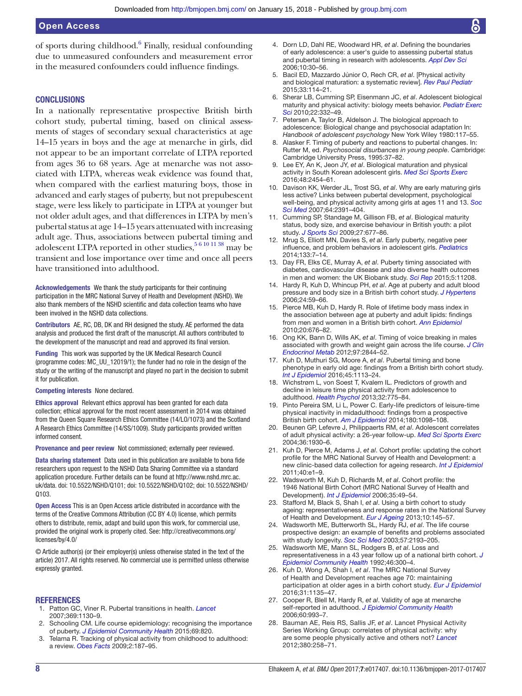## Open Access

of sports during childhood.<sup>6</sup> Finally, residual confounding due to unmeasured confounders and measurement error in the measured confounders could influence findings.

## **CONCLUSIONS**

In a nationally representative prospective British birth cohort study, pubertal timing, based on clinical assessments of stages of secondary sexual characteristics at age 14–15 years in boys and the age at menarche in girls, did not appear to be an important correlate of LTPA reported from ages 36 to 68 years. Age at menarche was not associated with LTPA, whereas weak evidence was found that, when compared with the earliest maturing boys, those in advanced and early stages of puberty, but not prepubescent stage, were less likely to participate in LTPA at younger but not older adult ages, and that differences in LTPA by men's pubertal status at age 14–15 years attenuated with increasing adult age. Thus, associations between pubertal timing and adolescent LTPA reported in other studies,  $56101138$  may be transient and lose importance over time and once all peers have transitioned into adulthood.

Acknowledgements We thank the study participants for their continuing participation in the MRC National Survey of Health and Development (NSHD). We also thank members of the NSHD scientific and data collection teams who have been involved in the NSHD data collections.

Contributors AE, RC, DB, DK and RH designed the study. AE performed the data analysis and produced the first draft of the manuscript. All authors contributed to the development of the manuscript and read and approved its final version.

Funding This work was supported by the UK Medical Research Council (programme codes: MC\_UU\_12019/1); the funder had no role in the design of the study or the writing of the manuscript and played no part in the decision to submit it for publication.

#### Competing interests None declared.

Ethics approval Relevant ethics approval has been granted for each data collection; ethical approval for the most recent assessment in 2014 was obtained from the Queen Square Research Ethics Committee (14/LO/1073) and the Scotland A Research Ethics Committee (14/SS/1009). Study participants provided written informed consent.

Provenance and peer review Not commissioned; externally peer reviewed.

Data sharing statement Data used in this publication are available to bona fide researchers upon request to the NSHD Data Sharing Committee via a standard application procedure. Further details can be found at [http://www.nshd.mrc.ac.](http://www.nshd.mrc.ac.uk/data) [uk/data.](http://www.nshd.mrc.ac.uk/data) doi: 10.5522/NSHD/Q101; doi: 10.5522/NSHD/Q102; doi: 10.5522/NSHD/ Q103.

Open Access This is an Open Access article distributed in accordance with the terms of the Creative Commons Attribution (CC BY 4.0) license, which permits others to distribute, remix, adapt and build upon this work, for commercial use, provided the original work is properly cited. See: [http://creativecommons.org/](http://creativecommons.org/licenses/by/4.0/) [licenses/by/4.0/](http://creativecommons.org/licenses/by/4.0/)

© Article author(s) (or their employer(s) unless otherwise stated in the text of the article) 2017. All rights reserved. No commercial use is permitted unless otherwise expressly granted.

### **REFERENCES**

- <span id="page-7-0"></span>1. Patton GC, Viner R. Pubertal transitions in health. *[Lancet](http://dx.doi.org/10.1016/S0140-6736(07)60366-3)* 2007;369:1130–9.
- 2. Schooling CM. Life course epidemiology: recognising the importance of puberty. *[J Epidemiol Community Health](http://dx.doi.org/10.1136/jech-2015-205607)* 2015;69:820.
- <span id="page-7-1"></span>3. Telama R. Tracking of physical activity from childhood to adulthood: a review. *[Obes Facts](http://dx.doi.org/10.1159/000222244)* 2009;2:187–95.
- <span id="page-7-2"></span>4. Dorn LD, Dahl RE, Woodward HR, *et al*. Defining the boundaries of early adolescence: a user's guide to assessing pubertal status and pubertal timing in research with adolescents. *[Appl Dev Sci](http://dx.doi.org/10.1207/s1532480xads1001_3)* 2006;10:30–56.
- <span id="page-7-3"></span>5. Bacil ED, Mazzardo Júnior O, Rech CR, *et al*. [Physical activity and biological maturation: a systematic review]. *[Rev Paul Pediatr](http://dx.doi.org/10.1016/j.rpped.2014.11.003)* 2015;33:114–21.
- <span id="page-7-18"></span>6. Sherar LB, Cumming SP, Eisenmann JC, *et al*. Adolescent biological maturity and physical activity: biology meets behavior. *[Pediatr Exerc](http://dx.doi.org/10.1123/pes.22.3.332)  [Sci](http://dx.doi.org/10.1123/pes.22.3.332)* 2010;22:332–49.
- <span id="page-7-4"></span>7. Petersen A, Taylor B, Aldelson J. The biological approach to adolescence: Biological change and psychosocial adaptation In: *Handbook of adolescent psychology* New York Wiley 1980:117–55.
- <span id="page-7-5"></span>8. Alasker F. Timing of puberty and reactions to pubertal changes. In: Rutter M, ed. *Psychosocial disurbances in young people*. Cambridge: Cambridge University Press, 1995:37–82.
- <span id="page-7-21"></span>9. Lee EY, An K, Jeon JY, *et al*. Biological maturation and physical activity in South Korean adolescent girls. *[Med Sci Sports Exerc](http://dx.doi.org/10.1249/MSS.0000000000001031)* 2016;48:2454–61.
- 10. Davison KK, Werder JL, Trost SG, *et al*. Why are early maturing girls less active? Links between pubertal development, psychological well-being, and physical activity among girls at ages 11 and 13. *[Soc](http://dx.doi.org/10.1016/j.socscimed.2007.02.033)  [Sci Med](http://dx.doi.org/10.1016/j.socscimed.2007.02.033)* 2007;64:2391–404.
- 11. Cumming SP, Standage M, Gillison FB, *et al*. Biological maturity status, body size, and exercise behaviour in British youth: a pilot study. *[J Sports Sci](http://dx.doi.org/10.1080/02640410902725590)* 2009;27:677–86.
- 12. Mrug S, Elliott MN, Davies S, *et al*. Early puberty, negative peer influence, and problem behaviors in adolescent girls. *[Pediatrics](http://dx.doi.org/10.1542/peds.2013-0628)* 2014;133:7–14.
- <span id="page-7-6"></span>13. Day FR, Elks CE, Murray A, *et al*. Puberty timing associated with diabetes, cardiovascular disease and also diverse health outcomes in men and women: the UK Biobank study. *[Sci Rep](http://dx.doi.org/10.1038/srep11208)* 2015;5:11208.
- <span id="page-7-7"></span>14. Hardy R, Kuh D, Whincup PH, *et al*. Age at puberty and adult blood pressure and body size in a British birth cohort study. *[J Hypertens](http://dx.doi.org/10.1097/01.hjh.0000198033.14848.93)* 2006;24:59–66.
- <span id="page-7-8"></span>15. Pierce MB, Kuh D, Hardy R. Role of lifetime body mass index in the association between age at puberty and adult lipids: findings from men and women in a British birth cohort. *[Ann Epidemiol](http://dx.doi.org/10.1016/j.annepidem.2010.05.015)* 2010;20:676–82.
- <span id="page-7-9"></span>16. Ong KK, Bann D, Wills AK, *et al*. Timing of voice breaking in males associated with growth and weight gain across the life course. *[J Clin](http://dx.doi.org/10.1210/jc.2011-3445)  [Endocrinol Metab](http://dx.doi.org/10.1210/jc.2011-3445)* 2012;97:2844–52.
- <span id="page-7-10"></span>17. Kuh D, Muthuri SG, Moore A, *et al*. Pubertal timing and bone phenotype in early old age: findings from a British birth cohort study. *[Int J Epidemiol](http://dx.doi.org/10.1093/ije/dyw131)* 2016;45:1113–24.
- <span id="page-7-11"></span>18. Wichstrøm L, von Soest T, Kvalem IL. Predictors of growth and decline in leisure time physical activity from adolescence to adulthood. *[Health Psychol](http://dx.doi.org/10.1037/a0029465)* 2013;32:775–84.
- <span id="page-7-12"></span>19. Pinto Pereira SM, Li L, Power C. Early-life predictors of leisure-time physical inactivity in midadulthood: findings from a prospective British birth cohort. *[Am J Epidemiol](http://dx.doi.org/10.1093/aje/kwu254)* 2014;180:1098–108.
- <span id="page-7-13"></span>20. Beunen GP, Lefevre J, Philippaerts RM, *et al*. Adolescent correlates of adult physical activity: a 26-year follow-up. *[Med Sci Sports Exerc](http://dx.doi.org/10.1249/01.MSS.0000145536.87255.3A)* 2004;36:1930–6.
- <span id="page-7-14"></span>21. Kuh D, Pierce M, Adams J, *et al*. Cohort profile: updating the cohort profile for the MRC National Survey of Health and Development: a new clinic-based data collection for ageing research. *[Int J Epidemiol](http://dx.doi.org/10.1093/ije/dyq231)* 2011;40:e1–9.
- 22. Wadsworth M, Kuh D, Richards M, *et al*. Cohort profile: the 1946 National Birth Cohort (MRC National Survey of Health and Development). *[Int J Epidemiol](http://dx.doi.org/10.1093/ije/dyi201)* 2006;35:49–54.
- <span id="page-7-15"></span>23. Stafford M, Black S, Shah I, *et al*. Using a birth cohort to study ageing: representativeness and response rates in the National Survey of Health and Development. *[Eur J Ageing](http://dx.doi.org/10.1007/s10433-013-0258-8)* 2013;10:145–57.
- 24. Wadsworth ME, Butterworth SL, Hardy RJ, *et al*. The life course prospective design: an example of benefits and problems associated with study longevity. *[Soc Sci Med](http://dx.doi.org/10.1016/S0277-9536(03)00083-2)* 2003;57:2193–205.
- <span id="page-7-20"></span>25. Wadsworth ME, Mann SL, Rodgers B, *et al*. Loss and representativeness in a 43 year follow up of a national birth cohort. *[J](http://dx.doi.org/10.1136/jech.46.3.300)  [Epidemiol Community Health](http://dx.doi.org/10.1136/jech.46.3.300)* 1992;46:300–4.
- <span id="page-7-16"></span>26. Kuh D, Wong A, Shah I, *et al*. The MRC National Survey of Health and Development reaches age 70: maintaining participation at older ages in a birth cohort study. *[Eur J Epidemiol](http://dx.doi.org/10.1007/s10654-016-0217-8)* 2016;31:1135–47.
- <span id="page-7-17"></span>27. Cooper R, Blell M, Hardy R, *et al*. Validity of age at menarche self-reported in adulthood. *[J Epidemiol Community Health](http://dx.doi.org/10.1136/jech.2005.043182)* 2006;60:993–7.
- <span id="page-7-19"></span>28. Bauman AE, Reis RS, Sallis JF, *et al*. Lancet Physical Activity Series Working Group: correlates of physical activity: why are some people physically active and others not? *Lancet* 2012;380:258–71.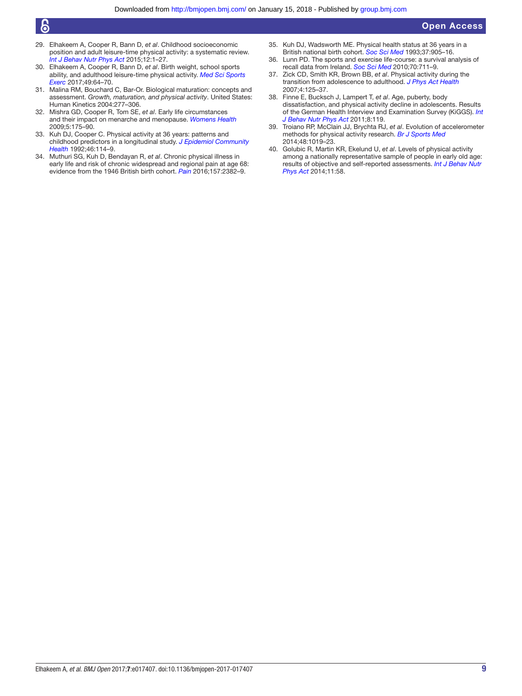- န
- 29. Elhakeem A, Cooper R, Bann D, *et al*. Childhood socioeconomic position and adult leisure-time physical activity: a systematic review. *[Int J Behav Nutr Phys Act](http://dx.doi.org/10.1186/s12966-015-0250-0)* 2015;12:1–27.
- 30. Elhakeem A, Cooper R, Bann D, *et al*. Birth weight, school sports ability, and adulthood leisure-time physical activity. *[Med Sci Sports](http://dx.doi.org/10.1249/MSS.0000000000001077)  [Exerc](http://dx.doi.org/10.1249/MSS.0000000000001077)* 2017;49:64–70.
- 31. Malina RM, Bouchard C, Bar-Or. Biological maturation: concepts and assessment. *Growth, maturation, and physical activity*. United States: Human Kinetics 2004:277–306.
- 32. Mishra GD, Cooper R, Tom SE, *et al*. Early life circumstances and their impact on menarche and menopause. *[Womens Health](http://dx.doi.org/10.2217/17455057.5.2.175)* 2009;5:175–90.
- <span id="page-8-0"></span>33. Kuh DJ, Cooper C. Physical activity at 36 years: patterns and childhood predictors in a longitudinal study. *[J Epidemiol Community](http://dx.doi.org/10.1136/jech.46.2.114)  [Health](http://dx.doi.org/10.1136/jech.46.2.114)* 1992;46:114–9.
- 34. Muthuri SG, Kuh D, Bendayan R, *et al*. Chronic physical illness in early life and risk of chronic widespread and regional pain at age 68: evidence from the 1946 British birth cohort. *[Pain](http://dx.doi.org/10.1097/j.pain.0000000000000663)* 2016;157:2382–9.
- <span id="page-8-1"></span>35. Kuh DJ, Wadsworth ME. Physical health status at 36 years in a British national birth cohort. *[Soc Sci Med](http://dx.doi.org/10.1016/0277-9536(93)90145-T)* 1993;37:905–16.
- <span id="page-8-2"></span>36. Lunn PD. The sports and exercise life-course: a survival analysis of recall data from Ireland. *[Soc Sci Med](http://dx.doi.org/10.1016/j.socscimed.2009.11.006)* 2010;70:711–9.
- 37. Zick CD, Smith KR, Brown BB, *et al*. Physical activity during the transition from adolescence to adulthood. *[J Phys Act Health](http://dx.doi.org/10.1123/jpah.4.2.125)* 2007;4:125–37.
- <span id="page-8-3"></span>38. Finne E, Bucksch J, Lampert T, *et al*. Age, puberty, body dissatisfaction, and physical activity decline in adolescents. Results of the German Health Interview and Examination Survey (KiGGS). *[Int](http://dx.doi.org/10.1186/1479-5868-8-119)  [J Behav Nutr Phys Act](http://dx.doi.org/10.1186/1479-5868-8-119)* 2011;8:119.
- <span id="page-8-4"></span>39. Troiano RP, McClain JJ, Brychta RJ, *et al*. Evolution of accelerometer methods for physical activity research. *[Br J Sports Med](http://dx.doi.org/10.1136/bjsports-2014-093546)* 2014;48:1019–23.
- <span id="page-8-5"></span>40. Golubic R, Martin KR, Ekelund U, *et al*. Levels of physical activity among a nationally representative sample of people in early old age: results of objective and self-reported assessments. *[Int J Behav Nutr](http://dx.doi.org/10.1186/1479-5868-11-58)  [Phys Act](http://dx.doi.org/10.1186/1479-5868-11-58)* 2014;11:58.